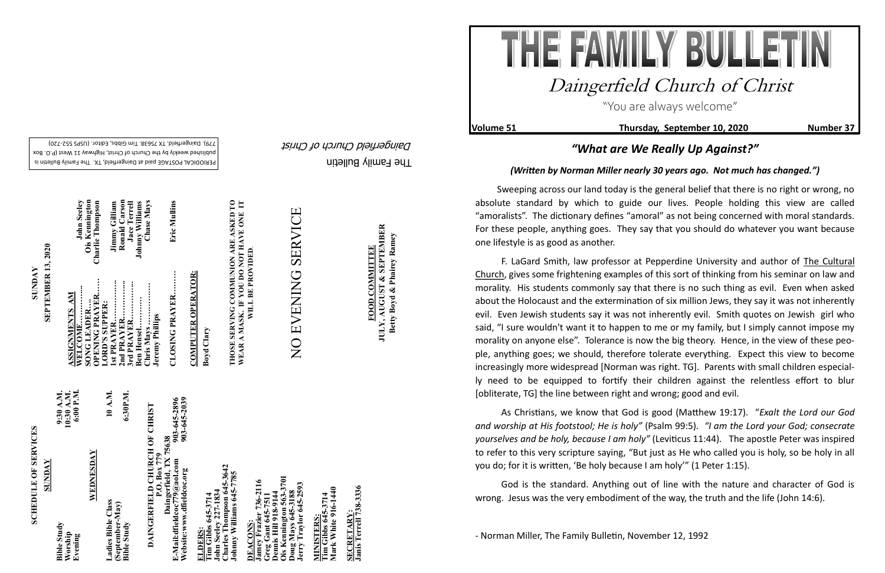The Family Bulletin

Daingerfield Church of Christ

**Volume 51** Thursday, September 10, 2020 Number 37

# **SCHEDULE OF SERVICES SCHEDULE OF SERVICES**

PERIODICAL POSTAGE paid at Daingerfield, TX. The Family Bulletin is published weekly by the Church of Christ, Highway 11 West (P.O. Box 720) - 779). Daingerfield. TX 75638. Tim Gibbs, Editor. (USPS 552



903-645-2896<br>903-645-2039 **Website:www.dfieldcoc.org 903-645-2039 E-Mail:dfieldcoc779@aol.com 903-645-2896 DAINGERFIELD CHURCH OF CHRIST**<br>P.O. Box 779<br>Daingerfield, TX 75638<br>E-Mail:dfieldcoc*779@a*ol.com<br>Website:www.dfieldcoc.org<br>903-645-203 **DAINGERFIELD CHURCH OF CHRIST Daingerfield, TX 75638**

**Tim Gibbs 645-3714**<br>John Seeley 227-1834<br>Charles Thompson 645-3642<br>Johnny Williams 645-7785 **John Seeley 227-1834 Charles Thompson 645-3642 Johnny Williams 645-7785** 

| SUNDAY | 10:30 A.M.<br>6:00 P.M.<br>9:30 A.M.     | WEDNESDAY | 10 A.M.            | 6:30P.M.                       |
|--------|------------------------------------------|-----------|--------------------|--------------------------------|
|        | <b>Bible Study</b><br>Worship<br>Evening |           | Ladies Bible Class | (September-May)<br>Bible Study |

**Ois Kennington 563-3701 Jamey Frazier 736-2116**  736-2116 **Jerry Traylor 645-2593 Greg Gant 645-7511 Dennis Hill 918-9144 Doug Mays 645-3188 doug Mays 645-31**<br>erry Traylor 645ennis Hill 918-91<br>is Kennington 5 **DEACONS: DEACOINS:**<br>amey Frazi<br>Peg Gant (form)<br>**Pennis Hill DEACONS** 

**Tim Gibbs 645-3714**<br>Mark White 916-1440 **Mark White 916-1440 Tim Gibbs 645-3714 MINISTERS:** MINISTERS

SECRETARY:<br>Janis Terrell 738-3336 **Janis Terrell 738-3336 SECRETARY:**

**SUNDAY<br>SEPTEMBER 13, 2020 SEPTEMBER 13, 2020**

Jimmy Gilliam<br>Ronald Carson<br>Jace Terrell<br>Johnny Williams<br>Chase Mays **WELCOME…………... John Seeley 2nd PRAYER…………... Ronald Carson OPENING PRAYER…… Charlie Thompson 1st PRAYER……………. Jimmy Gilliam 3rd PRAYER…………... Jace Terrell Ben Hensel………… Johnny Williams CLOSING PRAYER……… Eric Mullins**  Seeley **SONG LEADER…. Ois Kennington** Eric Mullins Ois Kennington<br>Charlie Thompson **Chris Mays ……………. Chase Mays** John! CLOSING PRAYER......... **ASSIGNMENTS AM LORD'S SUPPER:** hris Mays ......<br>eremy Phillips **Jeremy Phillips**  hris N

**Tim Gibbs 645-3714** 

**COMPUTER OPERATOR: COMPUTER OPERATOR:**

**JULY, AUGUST & SEPTEMBER JULY, AUGUST & SEPTEMBER** Betty Boyd & Phairey Ramey **Betty Boyd & Phairey Ramey FOOD COMMITTEE FOOD COMMITTEE**

**Boyd Clary**

**THOSE SERVING COMMUNION ARE ASKED TO WEAR A MASK. IF YOU DO NOT HAVE ONE IT**  THOSE SERVING COMMUNION ARE ASKED TO<br>WEAR A MASK. IF YOU DO NOT HAVE ONE IT<br>WILL BE PROVIDED. **WILL BE PROVIDED**.

# **SERVICE** NO EVENING SERVICE NO EVENING

"You are always welcome"

## Daingerfield Church of Christ

### *"What are We Really Up Against?"*

#### *(Written by Norman Miller nearly 30 years ago. Not much has changed.")*

 Sweeping across our land today is the general belief that there is no right or wrong, no absolute standard by which to guide our lives. People holding this view are called "amoralists". The dictionary defines "amoral" as not being concerned with moral standards. For these people, anything goes. They say that you should do whatever you want because one lifestyle is as good as another.

F. LaGard Smith, law professor at Pepperdine University and author of The Cultural Church, gives some frightening examples of this sort of thinking from his seminar on law and morality. His students commonly say that there is no such thing as evil. Even when asked about the Holocaust and the extermination of six million Jews, they say it was not inherently evil. Even Jewish students say it was not inherently evil. Smith quotes on Jewish girl who said, "I sure wouldn't want it to happen to me or my family, but I simply cannot impose my morality on anyone else". Tolerance is now the big theory. Hence, in the view of these people, anything goes; we should, therefore tolerate everything. Expect this view to become increasingly more widespread [Norman was right. TG]. Parents with small children especially need to be equipped to fortify their children against the relentless effort to blur [obliterate, TG] the line between right and wrong; good and evil.

As Christians, we know that God is good (Matthew 19:17). "*Exalt the Lord our God and worship at His footstool; He is holy"* (Psalm 99:5). *"I am the Lord your God; consecrate yourselves and be holy, because I am holy"* (Leviticus 11:44). The apostle Peter was inspired to refer to this very scripture saying, "But just as He who called you is holy, so be holy in all you do; for it is written, 'Be holy because I am holy'" (1 Peter 1:15).

God is the standard. Anything out of line with the nature and character of God is wrong. Jesus was the very embodiment of the way, the truth and the life (John 14:6).

- Norman Miller, The Family Bulletin, November 12, 1992